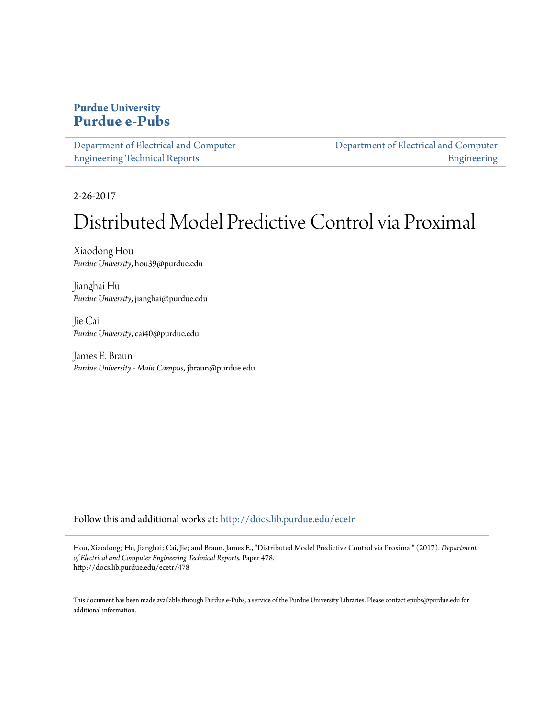# **Purdue University [Purdue e-Pubs](http://docs.lib.purdue.edu?utm_source=docs.lib.purdue.edu%2Fecetr%2F478&utm_medium=PDF&utm_campaign=PDFCoverPages)**

| Department of Electrical and Computer |  |
|---------------------------------------|--|
| <b>Engineering Technical Reports</b>  |  |

[Department of Electrical and Computer](http://docs.lib.purdue.edu/ece?utm_source=docs.lib.purdue.edu%2Fecetr%2F478&utm_medium=PDF&utm_campaign=PDFCoverPages) [Engineering](http://docs.lib.purdue.edu/ece?utm_source=docs.lib.purdue.edu%2Fecetr%2F478&utm_medium=PDF&utm_campaign=PDFCoverPages)

2-26-2017

# Distributed Model Predictive Control via Proximal

Xiaodong Hou *Purdue University*, hou39@purdue.edu

Jianghai Hu *Purdue University*, jianghai@purdue.edu

Jie Cai *Purdue University*, cai40@purdue.edu

James E. Braun *Purdue University - Main Campus*, jbraun@purdue.edu

Follow this and additional works at: [http://docs.lib.purdue.edu/ecetr](http://docs.lib.purdue.edu/ecetr?utm_source=docs.lib.purdue.edu%2Fecetr%2F478&utm_medium=PDF&utm_campaign=PDFCoverPages)

Hou, Xiaodong; Hu, Jianghai; Cai, Jie; and Braun, James E., "Distributed Model Predictive Control via Proximal" (2017). *Department of Electrical and Computer Engineering Technical Reports.* Paper 478. http://docs.lib.purdue.edu/ecetr/478

This document has been made available through Purdue e-Pubs, a service of the Purdue University Libraries. Please contact epubs@purdue.edu for additional information.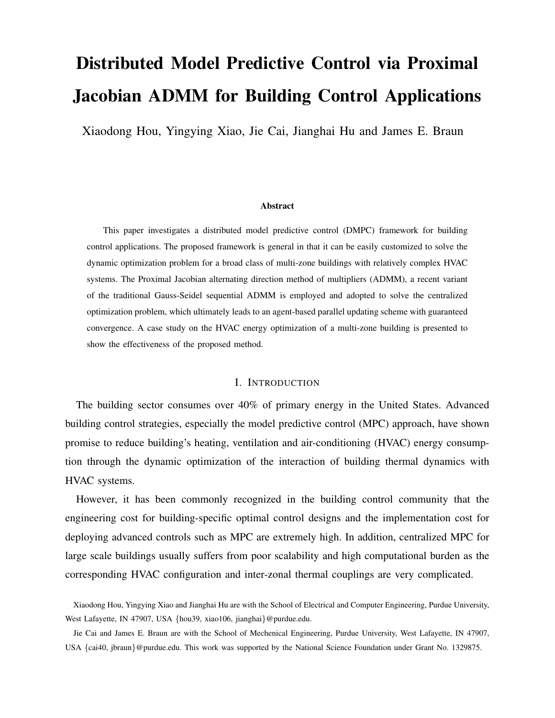# Distributed Model Predictive Control via Proximal Jacobian ADMM for Building Control Applications

Xiaodong Hou, Yingying Xiao, Jie Cai, Jianghai Hu and James E. Braun

#### Abstract

This paper investigates a distributed model predictive control (DMPC) framework for building control applications. The proposed framework is general in that it can be easily customized to solve the dynamic optimization problem for a broad class of multi-zone buildings with relatively complex HVAC systems. The Proximal Jacobian alternating direction method of multipliers (ADMM), a recent variant of the traditional Gauss-Seidel sequential ADMM is employed and adopted to solve the centralized optimization problem, which ultimately leads to an agent-based parallel updating scheme with guaranteed convergence. A case study on the HVAC energy optimization of a multi-zone building is presented to show the effectiveness of the proposed method.

#### I. INTRODUCTION

The building sector consumes over 40% of primary energy in the United States. Advanced building control strategies, especially the model predictive control (MPC) approach, have shown promise to reduce building's heating, ventilation and air-conditioning (HVAC) energy consumption through the dynamic optimization of the interaction of building thermal dynamics with HVAC systems.

However, it has been commonly recognized in the building control community that the engineering cost for building-specific optimal control designs and the implementation cost for deploying advanced controls such as MPC are extremely high. In addition, centralized MPC for large scale buildings usually suffers from poor scalability and high computational burden as the corresponding HVAC configuration and inter-zonal thermal couplings are very complicated.

Xiaodong Hou, Yingying Xiao and Jianghai Hu are with the School of Electrical and Computer Engineering, Purdue University, West Lafayette, IN 47907, USA {hou39, xiao106, jianghai}@purdue.edu.

Jie Cai and James E. Braun are with the School of Mechenical Engineering, Purdue University, West Lafayette, IN 47907, USA {cai40, jbraun}@purdue.edu. This work was supported by the National Science Foundation under Grant No. 1329875.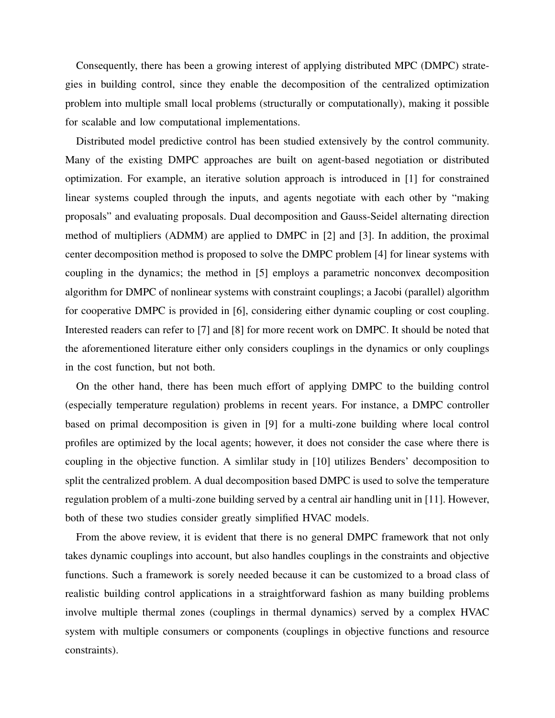Consequently, there has been a growing interest of applying distributed MPC (DMPC) strategies in building control, since they enable the decomposition of the centralized optimization problem into multiple small local problems (structurally or computationally), making it possible for scalable and low computational implementations.

Distributed model predictive control has been studied extensively by the control community. Many of the existing DMPC approaches are built on agent-based negotiation or distributed optimization. For example, an iterative solution approach is introduced in [1] for constrained linear systems coupled through the inputs, and agents negotiate with each other by "making proposals" and evaluating proposals. Dual decomposition and Gauss-Seidel alternating direction method of multipliers (ADMM) are applied to DMPC in [2] and [3]. In addition, the proximal center decomposition method is proposed to solve the DMPC problem [4] for linear systems with coupling in the dynamics; the method in [5] employs a parametric nonconvex decomposition algorithm for DMPC of nonlinear systems with constraint couplings; a Jacobi (parallel) algorithm for cooperative DMPC is provided in [6], considering either dynamic coupling or cost coupling. Interested readers can refer to [7] and [8] for more recent work on DMPC. It should be noted that the aforementioned literature either only considers couplings in the dynamics or only couplings in the cost function, but not both.

On the other hand, there has been much effort of applying DMPC to the building control (especially temperature regulation) problems in recent years. For instance, a DMPC controller based on primal decomposition is given in [9] for a multi-zone building where local control profiles are optimized by the local agents; however, it does not consider the case where there is coupling in the objective function. A simlilar study in [10] utilizes Benders' decomposition to split the centralized problem. A dual decomposition based DMPC is used to solve the temperature regulation problem of a multi-zone building served by a central air handling unit in [11]. However, both of these two studies consider greatly simplified HVAC models.

From the above review, it is evident that there is no general DMPC framework that not only takes dynamic couplings into account, but also handles couplings in the constraints and objective functions. Such a framework is sorely needed because it can be customized to a broad class of realistic building control applications in a straightforward fashion as many building problems involve multiple thermal zones (couplings in thermal dynamics) served by a complex HVAC system with multiple consumers or components (couplings in objective functions and resource constraints).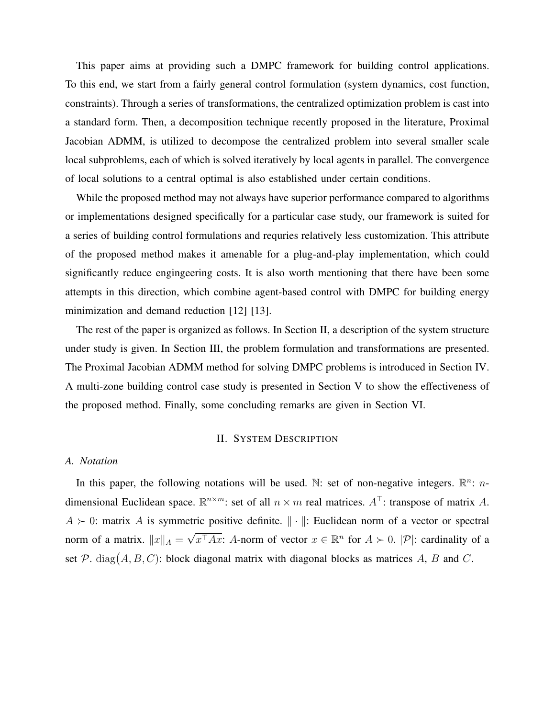This paper aims at providing such a DMPC framework for building control applications. To this end, we start from a fairly general control formulation (system dynamics, cost function, constraints). Through a series of transformations, the centralized optimization problem is cast into a standard form. Then, a decomposition technique recently proposed in the literature, Proximal Jacobian ADMM, is utilized to decompose the centralized problem into several smaller scale local subproblems, each of which is solved iteratively by local agents in parallel. The convergence of local solutions to a central optimal is also established under certain conditions.

While the proposed method may not always have superior performance compared to algorithms or implementations designed specifically for a particular case study, our framework is suited for a series of building control formulations and requries relatively less customization. This attribute of the proposed method makes it amenable for a plug-and-play implementation, which could significantly reduce engingeering costs. It is also worth mentioning that there have been some attempts in this direction, which combine agent-based control with DMPC for building energy minimization and demand reduction [12] [13].

The rest of the paper is organized as follows. In Section II, a description of the system structure under study is given. In Section III, the problem formulation and transformations are presented. The Proximal Jacobian ADMM method for solving DMPC problems is introduced in Section IV. A multi-zone building control case study is presented in Section V to show the effectiveness of the proposed method. Finally, some concluding remarks are given in Section VI.

#### II. SYSTEM DESCRIPTION

# *A. Notation*

In this paper, the following notations will be used. N: set of non-negative integers.  $\mathbb{R}^n$ : ndimensional Euclidean space.  $\mathbb{R}^{n \times m}$ : set of all  $n \times m$  real matrices.  $A^{\top}$ : transpose of matrix A.  $A \succ 0$ : matrix A is symmetric positive definite.  $\|\cdot\|$ : Euclidean norm of a vector or spectral norm of a matrix.  $||x||_A =$ √  $\overline{x^{\top}Ax}$ : A-norm of vector  $x \in \mathbb{R}^n$  for  $A \succ 0$ .  $|\mathcal{P}|$ : cardinality of a set  $\mathcal{P}$ . diag $(A, B, C)$ : block diagonal matrix with diagonal blocks as matrices A, B and C.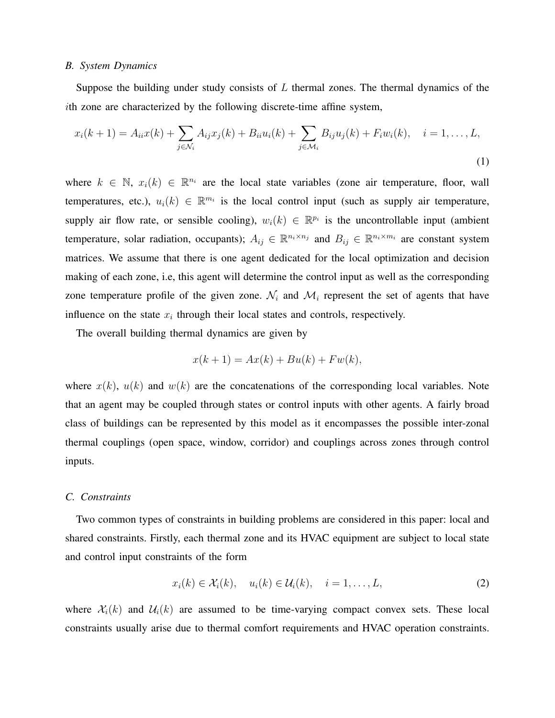### *B. System Dynamics*

Suppose the building under study consists of  $L$  thermal zones. The thermal dynamics of the ith zone are characterized by the following discrete-time affine system,

$$
x_i(k+1) = A_{ii}x(k) + \sum_{j \in \mathcal{N}_i} A_{ij}x_j(k) + B_{ii}u_i(k) + \sum_{j \in \mathcal{M}_i} B_{ij}u_j(k) + F_i w_i(k), \quad i = 1, ..., L,
$$
\n(1)

where  $k \in \mathbb{N}$ ,  $x_i(k) \in \mathbb{R}^{n_i}$  are the local state variables (zone air temperature, floor, wall temperatures, etc.),  $u_i(k) \in \mathbb{R}^{m_i}$  is the local control input (such as supply air temperature, supply air flow rate, or sensible cooling),  $w_i(k) \in \mathbb{R}^{p_i}$  is the uncontrollable input (ambient temperature, solar radiation, occupants);  $A_{ij} \in \mathbb{R}^{n_i \times n_j}$  and  $B_{ij} \in \mathbb{R}^{n_i \times m_i}$  are constant system matrices. We assume that there is one agent dedicated for the local optimization and decision making of each zone, i.e, this agent will determine the control input as well as the corresponding zone temperature profile of the given zone.  $\mathcal{N}_i$  and  $\mathcal{M}_i$  represent the set of agents that have influence on the state  $x_i$  through their local states and controls, respectively.

The overall building thermal dynamics are given by

$$
x(k+1) = Ax(k) + Bu(k) + Fw(k),
$$

where  $x(k)$ ,  $u(k)$  and  $w(k)$  are the concatenations of the corresponding local variables. Note that an agent may be coupled through states or control inputs with other agents. A fairly broad class of buildings can be represented by this model as it encompasses the possible inter-zonal thermal couplings (open space, window, corridor) and couplings across zones through control inputs.

#### *C. Constraints*

Two common types of constraints in building problems are considered in this paper: local and shared constraints. Firstly, each thermal zone and its HVAC equipment are subject to local state and control input constraints of the form

$$
x_i(k) \in \mathcal{X}_i(k), \quad u_i(k) \in \mathcal{U}_i(k), \quad i = 1, \dots, L,
$$
 (2)

where  $\mathcal{X}_{i}(k)$  and  $\mathcal{U}_{i}(k)$  are assumed to be time-varying compact convex sets. These local constraints usually arise due to thermal comfort requirements and HVAC operation constraints.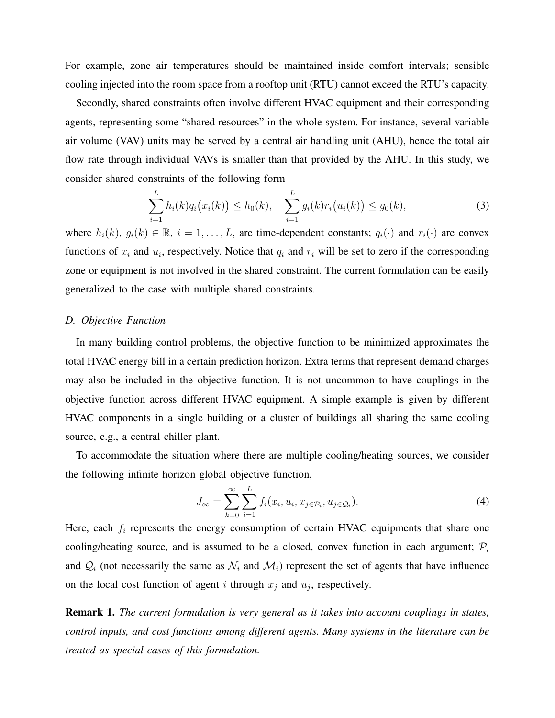For example, zone air temperatures should be maintained inside comfort intervals; sensible cooling injected into the room space from a rooftop unit (RTU) cannot exceed the RTU's capacity.

Secondly, shared constraints often involve different HVAC equipment and their corresponding agents, representing some "shared resources" in the whole system. For instance, several variable air volume (VAV) units may be served by a central air handling unit (AHU), hence the total air flow rate through individual VAVs is smaller than that provided by the AHU. In this study, we consider shared constraints of the following form

$$
\sum_{i=1}^{L} h_i(k) q_i(x_i(k)) \le h_0(k), \quad \sum_{i=1}^{L} g_i(k) r_i(u_i(k)) \le g_0(k), \tag{3}
$$

where  $h_i(k)$ ,  $g_i(k) \in \mathbb{R}$ ,  $i = 1, \ldots, L$ , are time-dependent constants;  $q_i(\cdot)$  and  $r_i(\cdot)$  are convex functions of  $x_i$  and  $u_i$ , respectively. Notice that  $q_i$  and  $r_i$  will be set to zero if the corresponding zone or equipment is not involved in the shared constraint. The current formulation can be easily generalized to the case with multiple shared constraints.

# *D. Objective Function*

In many building control problems, the objective function to be minimized approximates the total HVAC energy bill in a certain prediction horizon. Extra terms that represent demand charges may also be included in the objective function. It is not uncommon to have couplings in the objective function across different HVAC equipment. A simple example is given by different HVAC components in a single building or a cluster of buildings all sharing the same cooling source, e.g., a central chiller plant.

To accommodate the situation where there are multiple cooling/heating sources, we consider the following infinite horizon global objective function,

$$
J_{\infty} = \sum_{k=0}^{\infty} \sum_{i=1}^{L} f_i(x_i, u_i, x_{j \in \mathcal{P}_i}, u_{j \in \mathcal{Q}_i}).
$$
\n(4)

Here, each  $f_i$  represents the energy consumption of certain HVAC equipments that share one cooling/heating source, and is assumed to be a closed, convex function in each argument;  $P_i$ and  $\mathcal{Q}_i$  (not necessarily the same as  $\mathcal{N}_i$  and  $\mathcal{M}_i$ ) represent the set of agents that have influence on the local cost function of agent i through  $x_j$  and  $u_j$ , respectively.

Remark 1. *The current formulation is very general as it takes into account couplings in states, control inputs, and cost functions among different agents. Many systems in the literature can be treated as special cases of this formulation.*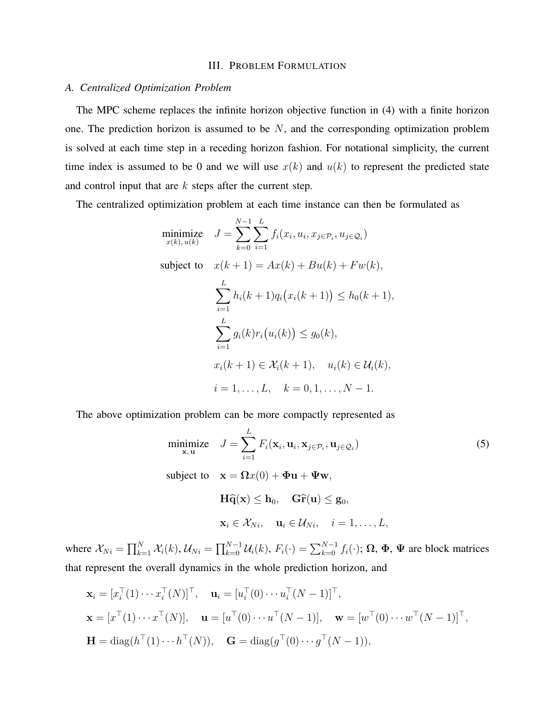# III. PROBLEM FORMULATION

#### *A. Centralized Optimization Problem*

The MPC scheme replaces the infinite horizon objective function in (4) with a finite horizon one. The prediction horizon is assumed to be  $N$ , and the corresponding optimization problem is solved at each time step in a receding horizon fashion. For notational simplicity, the current time index is assumed to be 0 and we will use  $x(k)$  and  $u(k)$  to represent the predicted state and control input that are  $k$  steps after the current step.

The centralized optimization problem at each time instance can then be formulated as

minimize 
$$
J = \sum_{k=0}^{N-1} \sum_{i=1}^{L} f_i(x_i, u_i, x_{j \in \mathcal{P}_i}, u_{j \in \mathcal{Q}_i})
$$
  
\nsubject to  $x(k+1) = Ax(k) + Bu(k) + Fw(k)$ ,  
\n
$$
\sum_{i=1}^{L} h_i(k+1)q_i(x_i(k+1)) \leq h_0(k+1),
$$
\n
$$
\sum_{i=1}^{L} g_i(k)r_i(u_i(k)) \leq g_0(k),
$$
\n
$$
x_i(k+1) \in \mathcal{X}_i(k+1), \quad u_i(k) \in \mathcal{U}_i(k),
$$
\n
$$
i = 1, ..., L, \quad k = 0, 1, ..., N - 1.
$$

The above optimization problem can be more compactly represented as

$$
\begin{aligned}\n\text{minimize} \quad & J = \sum_{i=1}^{L} F_i(\mathbf{x}_i, \mathbf{u}_i, \mathbf{x}_{j \in \mathcal{P}_i}, \mathbf{u}_{j \in \mathcal{Q}_i}) \\
\text{subject to} \quad & \mathbf{x} = \Omega x(0) + \Phi \mathbf{u} + \Psi \mathbf{w}, \\
& \mathbf{H} \widehat{\mathbf{q}}(\mathbf{x}) \leq \mathbf{h}_0, \quad \mathbf{G} \widehat{\mathbf{r}}(\mathbf{u}) \leq \mathbf{g}_0, \\
& \mathbf{x}_i \in \mathcal{X}_{Ni}, \quad \mathbf{u}_i \in \mathcal{U}_{Ni}, \quad i = 1, \dots, L,\n\end{aligned}
$$
\n
$$
\begin{aligned}\n\text{(5)} \\
\text{subject to} \quad & \mathbf{x}_i \in \mathcal{X}_{Ni}, \quad \mathbf{u}_i \in \mathcal{U}_{Ni}, \quad i = 1, \dots, L,\n\end{aligned}
$$

where  $\mathcal{X}_{Ni} = \prod_{k=1}^{N} \mathcal{X}_i(k)$ ,  $\mathcal{U}_{Ni} = \prod_{k=0}^{N-1} \mathcal{U}_i(k)$ ,  $F_i(\cdot) = \sum_{k=0}^{N-1} f_i(\cdot)$ ;  $\Omega$ ,  $\Phi$ ,  $\Psi$  are block matrices that represent the overall dynamics in the whole prediction horizon, and

$$
\mathbf{x}_{i} = [x_{i}^{\top}(1) \cdots x_{i}^{\top}(N)]^{\top}, \quad \mathbf{u}_{i} = [u_{i}^{\top}(0) \cdots u_{i}^{\top}(N-1)]^{\top},
$$
\n
$$
\mathbf{x} = [x^{\top}(1) \cdots x^{\top}(N)], \quad \mathbf{u} = [u^{\top}(0) \cdots u^{\top}(N-1)], \quad \mathbf{w} = [w^{\top}(0) \cdots w^{\top}(N-1)]^{\top},
$$
\n
$$
\mathbf{H} = \text{diag}(h^{\top}(1) \cdots h^{\top}(N)), \quad \mathbf{G} = \text{diag}(g^{\top}(0) \cdots g^{\top}(N-1)),
$$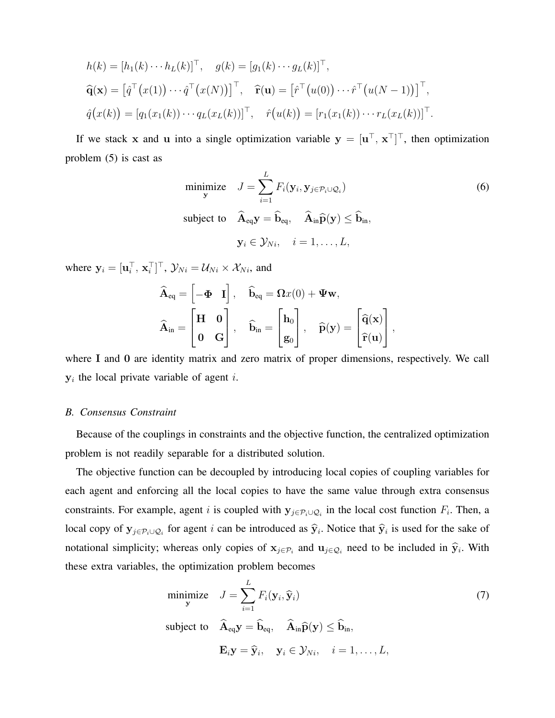$$
h(k) = [h_1(k) \cdots h_L(k)]^\top, \quad g(k) = [g_1(k) \cdots g_L(k)]^\top,
$$
  

$$
\widehat{\mathbf{q}}(\mathbf{x}) = [\widehat{q}^\top(x(1)) \cdots \widehat{q}^\top(x(N))]^\top, \quad \widehat{\mathbf{r}}(\mathbf{u}) = [\widehat{r}^\top(u(0)) \cdots \widehat{r}^\top(u(N-1))]^\top,
$$
  

$$
\widehat{q}(x(k)) = [q_1(x_1(k)) \cdots q_L(x_L(k))]^\top, \quad \widehat{r}(u(k)) = [r_1(x_1(k)) \cdots r_L(x_L(k))]^\top.
$$

If we stack x and u into a single optimization variable  $y = [u^\top, x^\top]^\top$ , then optimization problem (5) is cast as

minimize 
$$
J = \sum_{i=1}^{L} F_i(\mathbf{y}_i, \mathbf{y}_{j \in \mathcal{P}_i \cup \mathcal{Q}_i})
$$
  
\nsubject to  $\hat{\mathbf{A}}_{eq} \mathbf{y} = \hat{\mathbf{b}}_{eq}, \quad \hat{\mathbf{A}}_{in} \hat{\mathbf{p}}(\mathbf{y}) \leq \hat{\mathbf{b}}_{in},$   
\n $\mathbf{y}_i \in \mathcal{Y}_{Ni}, \quad i = 1, ..., L,$  (6)

where  $\mathbf{y}_i = [\mathbf{u}_i^\top, \mathbf{x}_i^\top]^\top$ ,  $\mathcal{Y}_{Ni} = \mathcal{U}_{Ni} \times \mathcal{X}_{Ni}$ , and

$$
\widehat{\mathbf{A}}_{eq} = \begin{bmatrix} -\Phi & I \end{bmatrix}, \quad \widehat{\mathbf{b}}_{eq} = \Omega x(0) + \Psi \mathbf{w},
$$
\n
$$
\widehat{\mathbf{A}}_{in} = \begin{bmatrix} \mathbf{H} & \mathbf{0} \\ \mathbf{0} & \mathbf{G} \end{bmatrix}, \quad \widehat{\mathbf{b}}_{in} = \begin{bmatrix} \mathbf{h}_0 \\ \mathbf{g}_0 \end{bmatrix}, \quad \widehat{\mathbf{p}}(\mathbf{y}) = \begin{bmatrix} \widehat{\mathbf{q}}(\mathbf{x}) \\ \widehat{\mathbf{r}}(\mathbf{u}) \end{bmatrix},
$$

where I and 0 are identity matrix and zero matrix of proper dimensions, respectively. We call  $y_i$  the local private variable of agent *i*.

#### *B. Consensus Constraint*

Because of the couplings in constraints and the objective function, the centralized optimization problem is not readily separable for a distributed solution.

The objective function can be decoupled by introducing local copies of coupling variables for each agent and enforcing all the local copies to have the same value through extra consensus constraints. For example, agent i is coupled with  $y_{j \in \mathcal{P}_i \cup \mathcal{Q}_i}$  in the local cost function  $F_i$ . Then, a local copy of  $y_{j \in P_i \cup Q_i}$  for agent i can be introduced as  $\hat{y}_i$ . Notice that  $\hat{y}_i$  is used for the sake of notational simplicity; whereas only copies of  $x_{j \in \mathcal{P}_i}$  and  $u_{j \in \mathcal{Q}_i}$  need to be included in  $\hat{y}_i$ . With these extra variables, the optimization problem becomes

$$
\underset{\mathbf{y}}{\text{minimize}} \quad J = \sum_{i=1}^{L} F_i(\mathbf{y}_i, \widehat{\mathbf{y}}_i) \tag{7}
$$

subject to  $\hat{A}_{eq}y = \hat{b}_{eq}, \quad \hat{A}_{in}\hat{p}(y) \leq \hat{b}_{in},$ 

$$
\mathbf{E}_i \mathbf{y} = \widehat{\mathbf{y}}_i, \quad \mathbf{y}_i \in \mathcal{Y}_{Ni}, \quad i = 1, \ldots, L,
$$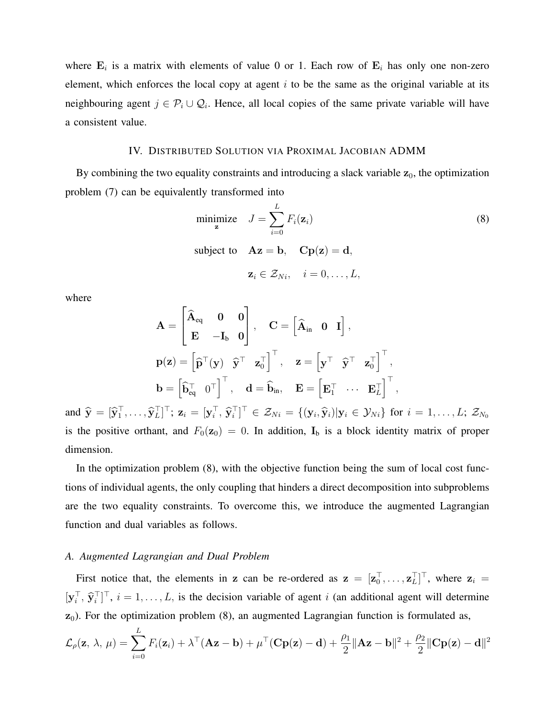where  $\mathbf{E}_i$  is a matrix with elements of value 0 or 1. Each row of  $\mathbf{E}_i$  has only one non-zero element, which enforces the local copy at agent  $i$  to be the same as the original variable at its neighbouring agent  $j \in \mathcal{P}_i \cup \mathcal{Q}_i$ . Hence, all local copies of the same private variable will have a consistent value.

# IV. DISTRIBUTED SOLUTION VIA PROXIMAL JACOBIAN ADMM

By combining the two equality constraints and introducing a slack variable  $z_0$ , the optimization problem (7) can be equivalently transformed into

minimize 
$$
J = \sum_{i=0}^{L} F_i(\mathbf{z}_i)
$$
 (8)  
subject to  $\mathbf{A}\mathbf{z} = \mathbf{b}$ ,  $\mathbf{C}\mathbf{p}(\mathbf{z}) = \mathbf{d}$ ,  
 $\mathbf{z}_i \in \mathcal{Z}_{Ni}$ ,  $i = 0, ..., L$ ,

where

$$
\begin{aligned} \mathbf{A} &= \begin{bmatrix} \widehat{\mathbf{A}}_{eq} & \mathbf{0} & \mathbf{0} \\ \mathbf{E} & -\mathbf{I}_b & \mathbf{0} \end{bmatrix}, \quad \mathbf{C} = \begin{bmatrix} \widehat{\mathbf{A}}_{in} & \mathbf{0} & \mathbf{I} \end{bmatrix}, \\ \mathbf{p}(\mathbf{z}) &= \begin{bmatrix} \widehat{\mathbf{p}}^{\top}(\mathbf{y}) & \widehat{\mathbf{y}}^{\top} & \mathbf{z}_0^{\top} \end{bmatrix}^{\top}, \quad \mathbf{z} = \begin{bmatrix} \mathbf{y}^{\top} & \widehat{\mathbf{y}}^{\top} & \mathbf{z}_0^{\top} \end{bmatrix}^{\top}, \\ \mathbf{b} &= \begin{bmatrix} \widehat{\mathbf{b}}_{eq}^{\top} & \mathbf{0}^{\top} \end{bmatrix}^{\top}, \quad \mathbf{d} = \widehat{\mathbf{b}}_{in}, \quad \mathbf{E} = \begin{bmatrix} \mathbf{E}_{1}^{\top} & \cdots & \mathbf{E}_{L}^{\top} \end{bmatrix}^{\top}, \end{aligned}
$$

and  $\hat{\mathbf{y}} = [\hat{\mathbf{y}}_1^\top, \dots, \hat{\mathbf{y}}_L^\top]^\top$ ;  $\mathbf{z}_i = [\mathbf{y}_i^\top, \hat{\mathbf{y}}_i^\top]^\top \in \mathcal{Z}_{Ni} = \{(\mathbf{y}_i, \hat{\mathbf{y}}_i)|\mathbf{y}_i \in \mathcal{Y}_{Ni}\}$  for  $i = 1, \dots, L$ ;  $\mathcal{Z}_{N_0}$ is the positive orthant, and  $F_0(z_0) = 0$ . In addition,  $I_b$  is a block identity matrix of proper dimension.

In the optimization problem (8), with the objective function being the sum of local cost functions of individual agents, the only coupling that hinders a direct decomposition into subproblems are the two equality constraints. To overcome this, we introduce the augmented Lagrangian function and dual variables as follows.

#### *A. Augmented Lagrangian and Dual Problem*

First notice that, the elements in z can be re-ordered as  $z = [z_0^\top, \dots, z_L^\top]^\top$ , where  $z_i =$  $[\mathbf{y}_i^\top, \hat{\mathbf{y}}_i^\top]^\top$ ,  $i = 1, ..., L$ , is the decision variable of agent *i* (an additional agent will determine  $z_0$ ). For the optimization problem (8), an augmented Lagrangian function is formulated as,

$$
\mathcal{L}_{\rho}(\mathbf{z}, \lambda, \mu) = \sum_{i=0}^{L} F_i(\mathbf{z}_i) + \lambda^{\top} (\mathbf{A}\mathbf{z} - \mathbf{b}) + \mu^{\top} (\mathbf{C}\mathbf{p}(\mathbf{z}) - \mathbf{d}) + \frac{\rho_1}{2} ||\mathbf{A}\mathbf{z} - \mathbf{b}||^2 + \frac{\rho_2}{2} ||\mathbf{C}\mathbf{p}(\mathbf{z}) - \mathbf{d}||^2
$$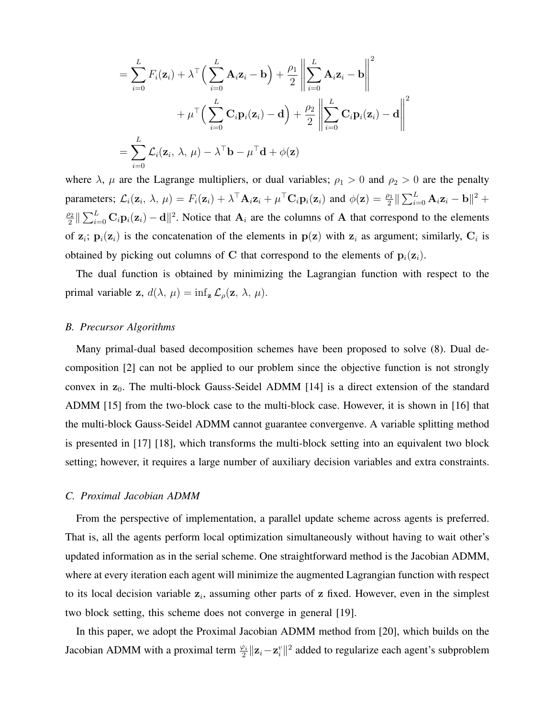$$
= \sum_{i=0}^{L} F_i(\mathbf{z}_i) + \lambda^{\top} \Big( \sum_{i=0}^{L} \mathbf{A}_i \mathbf{z}_i - \mathbf{b} \Big) + \frac{\rho_1}{2} \left\| \sum_{i=0}^{L} \mathbf{A}_i \mathbf{z}_i - \mathbf{b} \right\|^2
$$
  
+  $\mu^{\top} \Big( \sum_{i=0}^{L} \mathbf{C}_i \mathbf{p}_i(\mathbf{z}_i) - \mathbf{d} \Big) + \frac{\rho_2}{2} \left\| \sum_{i=0}^{L} \mathbf{C}_i \mathbf{p}_i(\mathbf{z}_i) - \mathbf{d} \right\|^2$   
=  $\sum_{i=0}^{L} \mathcal{L}_i(\mathbf{z}_i, \lambda, \mu) - \lambda^{\top} \mathbf{b} - \mu^{\top} \mathbf{d} + \phi(\mathbf{z})$ 

where  $\lambda$ ,  $\mu$  are the Lagrange multipliers, or dual variables;  $\rho_1 > 0$  and  $\rho_2 > 0$  are the penalty parameters;  $\mathcal{L}_i(\mathbf{z}_i, \lambda, \mu) = F_i(\mathbf{z}_i) + \lambda^\top \mathbf{A}_i \mathbf{z}_i + \mu^\top \mathbf{C}_i \mathbf{p}_i(\mathbf{z}_i)$  and  $\phi(\mathbf{z}) = \frac{\rho_1}{2} \|\sum_{i=0}^L \mathbf{A}_i \mathbf{z}_i - \mathbf{b}\|^2 +$  $\rho_2$  $\frac{22}{2} \|\sum_{i=0}^{L} \mathbf{C}_i \mathbf{p}_i(\mathbf{z}_i) - \mathbf{d}\|^2$ . Notice that  $\mathbf{A}_i$  are the columns of A that correspond to the elements of  $z_i$ ;  $p_i(z_i)$  is the concatenation of the elements in  $p(z)$  with  $z_i$  as argument; similarly,  $C_i$  is obtained by picking out columns of C that correspond to the elements of  $p_i(z_i)$ .

The dual function is obtained by minimizing the Lagrangian function with respect to the primal variable z,  $d(\lambda, \mu) = \inf_{\mathbf{z}} \mathcal{L}_{\rho}(\mathbf{z}, \lambda, \mu)$ .

#### *B. Precursor Algorithms*

Many primal-dual based decomposition schemes have been proposed to solve (8). Dual decomposition [2] can not be applied to our problem since the objective function is not strongly convex in  $z_0$ . The multi-block Gauss-Seidel ADMM [14] is a direct extension of the standard ADMM [15] from the two-block case to the multi-block case. However, it is shown in [16] that the multi-block Gauss-Seidel ADMM cannot guarantee convergenve. A variable splitting method is presented in [17] [18], which transforms the multi-block setting into an equivalent two block setting; however, it requires a large number of auxiliary decision variables and extra constraints.

#### *C. Proximal Jacobian ADMM*

From the perspective of implementation, a parallel update scheme across agents is preferred. That is, all the agents perform local optimization simultaneously without having to wait other's updated information as in the serial scheme. One straightforward method is the Jacobian ADMM, where at every iteration each agent will minimize the augmented Lagrangian function with respect to its local decision variable  $z_i$ , assuming other parts of  $z$  fixed. However, even in the simplest two block setting, this scheme does not converge in general [19].

In this paper, we adopt the Proximal Jacobian ADMM method from [20], which builds on the Jacobian ADMM with a proximal term  $\frac{\varphi_i}{2} ||\mathbf{z}_i - \mathbf{z}_i||^2$  added to regularize each agent's subproblem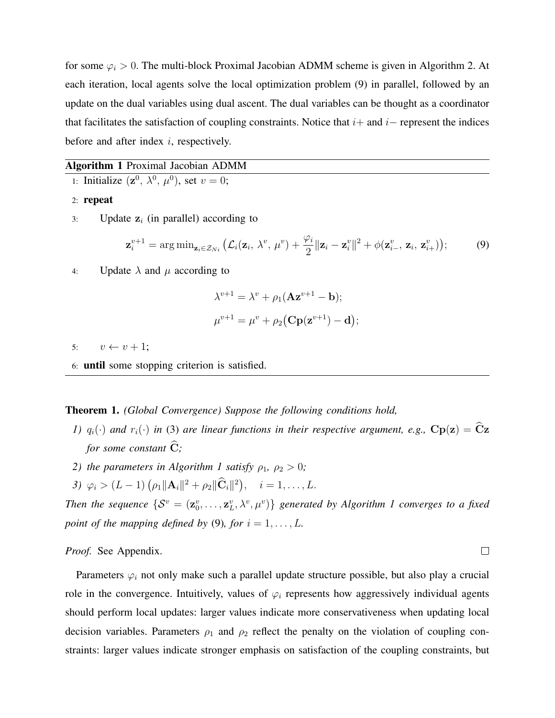for some  $\varphi_i > 0$ . The multi-block Proximal Jacobian ADMM scheme is given in Algorithm 2. At each iteration, local agents solve the local optimization problem (9) in parallel, followed by an update on the dual variables using dual ascent. The dual variables can be thought as a coordinator that facilitates the satisfaction of coupling constraints. Notice that  $i+$  and  $i-$  represent the indices before and after index  $i$ , respectively.

#### Algorithm 1 Proximal Jacobian ADMM

- 1: Initialize  $(\mathbf{z}^0, \lambda^0, \mu^0)$ , set  $v = 0$ ;
- 2: repeat
- 3: Update  $z_i$  (in parallel) according to

$$
\mathbf{z}_{i}^{v+1} = \arg\min_{\mathbf{z}_{i} \in \mathcal{Z}_{Ni}} \left( \mathcal{L}_{i}(\mathbf{z}_{i}, \lambda^{v}, \mu^{v}) + \frac{\varphi_{i}}{2} || \mathbf{z}_{i} - \mathbf{z}_{i}^{v} ||^{2} + \phi(\mathbf{z}_{i-}^{v}, \mathbf{z}_{i}, \mathbf{z}_{i+}^{v}) \right); \tag{9}
$$

4: Update  $\lambda$  and  $\mu$  according to

$$
\lambda^{v+1} = \lambda^v + \rho_1(\mathbf{A} \mathbf{z}^{v+1} - \mathbf{b});
$$
  

$$
\mu^{v+1} = \mu^v + \rho_2(\mathbf{C} \mathbf{p}(\mathbf{z}^{v+1}) - \mathbf{d});
$$

5:  $v \leftarrow v + 1$ ;

6: until some stopping criterion is satisfied.

#### Theorem 1. *(Global Convergence) Suppose the following conditions hold,*

- *1)*  $q_i(\cdot)$  *and*  $r_i(\cdot)$  *in* (3) *are linear functions in their respective argument, e.g.,*  $\mathbf{Cp}(\mathbf{z}) = \widehat{\mathbf{C}}\mathbf{z}$ *for some constant*  $\hat{C}$ *;*
- *2) the parameters in Algorithm 1 satisfy*  $\rho_1$ ,  $\rho_2 > 0$ ;
- 3)  $\varphi_i > (L-1) \left( \rho_1 || \mathbf{A}_i ||^2 + \rho_2 || \mathbf{\hat{C}}_i ||^2 \right), \quad i = 1, \dots, L.$

Then the sequence  $\{S^v = (\mathbf{z}_0^v, \dots, \mathbf{z}_L^v, \lambda^v, \mu^v)\}$  generated by Algorithm 1 converges to a fixed *point of the mapping defined by* (9)*, for*  $i = 1, \ldots, L$ .

*Proof.* See Appendix.

Parameters  $\varphi_i$  not only make such a parallel update structure possible, but also play a crucial role in the convergence. Intuitively, values of  $\varphi_i$  represents how aggressively individual agents should perform local updates: larger values indicate more conservativeness when updating local decision variables. Parameters  $\rho_1$  and  $\rho_2$  reflect the penalty on the violation of coupling constraints: larger values indicate stronger emphasis on satisfaction of the coupling constraints, but

 $\Box$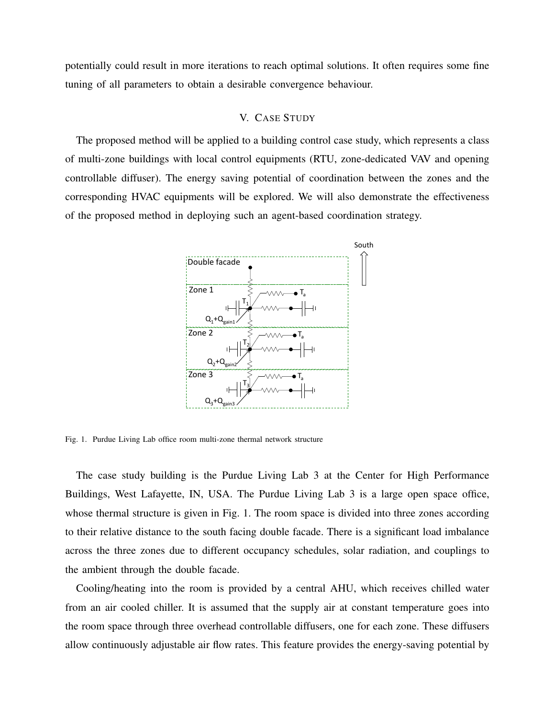potentially could result in more iterations to reach optimal solutions. It often requires some fine tuning of all parameters to obtain a desirable convergence behaviour.

#### V. CASE STUDY

The proposed method will be applied to a building control case study, which represents a class of multi-zone buildings with local control equipments (RTU, zone-dedicated VAV and opening controllable diffuser). The energy saving potential of coordination between the zones and the corresponding HVAC equipments will be explored. We will also demonstrate the effectiveness of the proposed method in deploying such an agent-based coordination strategy.



Fig. 1. Purdue Living Lab office room multi-zone thermal network structure

The case study building is the Purdue Living Lab 3 at the Center for High Performance Buildings, West Lafayette, IN, USA. The Purdue Living Lab 3 is a large open space office, whose thermal structure is given in Fig. 1. The room space is divided into three zones according to their relative distance to the south facing double facade. There is a significant load imbalance across the three zones due to different occupancy schedules, solar radiation, and couplings to the ambient through the double facade.

Cooling/heating into the room is provided by a central AHU, which receives chilled water from an air cooled chiller. It is assumed that the supply air at constant temperature goes into the room space through three overhead controllable diffusers, one for each zone. These diffusers allow continuously adjustable air flow rates. This feature provides the energy-saving potential by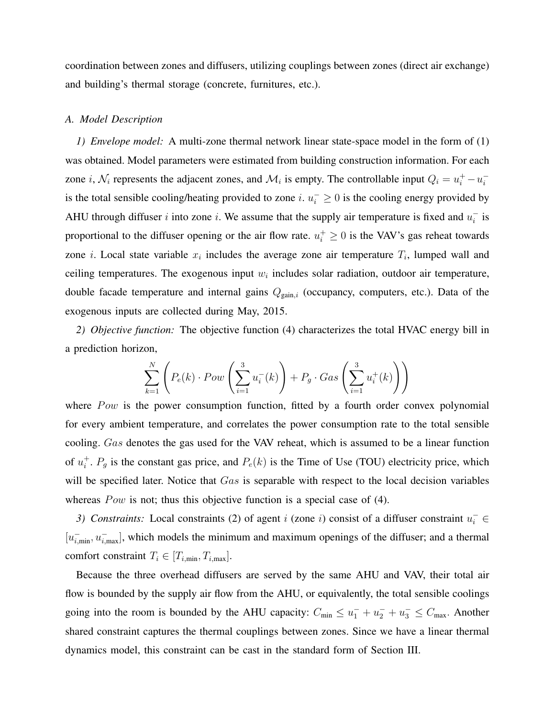coordination between zones and diffusers, utilizing couplings between zones (direct air exchange) and building's thermal storage (concrete, furnitures, etc.).

#### *A. Model Description*

*1) Envelope model:* A multi-zone thermal network linear state-space model in the form of (1) was obtained. Model parameters were estimated from building construction information. For each zone *i*,  $\mathcal{N}_i$  represents the adjacent zones, and  $\mathcal{M}_i$  is empty. The controllable input  $Q_i = u_i^+ - u_i^$ i is the total sensible cooling/heating provided to zone *i*.  $u_i^{\text{-}} \geq 0$  is the cooling energy provided by AHU through diffuser i into zone i. We assume that the supply air temperature is fixed and  $u_i^ \frac{1}{i}$  is proportional to the diffuser opening or the air flow rate.  $u_i^+ \geq 0$  is the VAV's gas reheat towards zone *i*. Local state variable  $x_i$  includes the average zone air temperature  $T_i$ , lumped wall and ceiling temperatures. The exogenous input  $w_i$  includes solar radiation, outdoor air temperature, double facade temperature and internal gains  $Q_{\text{gain},i}$  (occupancy, computers, etc.). Data of the exogenous inputs are collected during May, 2015.

*2) Objective function:* The objective function (4) characterizes the total HVAC energy bill in a prediction horizon,

$$
\sum_{k=1}^{N} \left( P_e(k) \cdot Pow\left(\sum_{i=1}^{3} u_i^-(k)\right) + P_g \cdot Gas\left(\sum_{i=1}^{3} u_i^+(k)\right) \right)
$$

where  $Pow$  is the power consumption function, fitted by a fourth order convex polynomial for every ambient temperature, and correlates the power consumption rate to the total sensible cooling. Gas denotes the gas used for the VAV reheat, which is assumed to be a linear function of  $u_i^+$  $i<sup>+</sup>$ .  $P<sub>g</sub>$  is the constant gas price, and  $P<sub>e</sub>(k)$  is the Time of Use (TOU) electricity price, which will be specified later. Notice that Gas is separable with respect to the local decision variables whereas  $Pow$  is not; thus this objective function is a special case of (4).

3) Constraints: Local constraints (2) of agent i (zone i) consist of a diffuser constraint  $u_i^-\in$  $[u_{i,\min}^-, u_{i,\max}^-]$ , which models the minimum and maximum openings of the diffuser; and a thermal comfort constraint  $T_i \in [T_{i,\text{min}}, T_{i,\text{max}}]$ .

Because the three overhead diffusers are served by the same AHU and VAV, their total air flow is bounded by the supply air flow from the AHU, or equivalently, the total sensible coolings going into the room is bounded by the AHU capacity:  $C_{\min} \le u_1^- + u_2^- + u_3^- \le C_{\max}$ . Another shared constraint captures the thermal couplings between zones. Since we have a linear thermal dynamics model, this constraint can be cast in the standard form of Section III.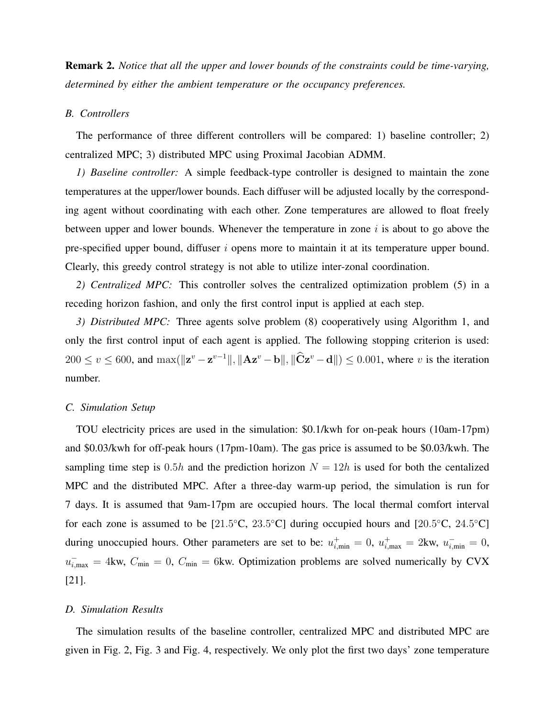Remark 2. *Notice that all the upper and lower bounds of the constraints could be time-varying, determined by either the ambient temperature or the occupancy preferences.*

#### *B. Controllers*

The performance of three different controllers will be compared: 1) baseline controller; 2) centralized MPC; 3) distributed MPC using Proximal Jacobian ADMM.

*1) Baseline controller:* A simple feedback-type controller is designed to maintain the zone temperatures at the upper/lower bounds. Each diffuser will be adjusted locally by the corresponding agent without coordinating with each other. Zone temperatures are allowed to float freely between upper and lower bounds. Whenever the temperature in zone  $i$  is about to go above the pre-specified upper bound, diffuser  $i$  opens more to maintain it at its temperature upper bound. Clearly, this greedy control strategy is not able to utilize inter-zonal coordination.

*2) Centralized MPC:* This controller solves the centralized optimization problem (5) in a receding horizon fashion, and only the first control input is applied at each step.

*3) Distributed MPC:* Three agents solve problem (8) cooperatively using Algorithm 1, and only the first control input of each agent is applied. The following stopping criterion is used:  $200 \le v \le 600$ , and  $\max(||\mathbf{z}^v - \mathbf{z}^{v-1}||, ||\mathbf{A}\mathbf{z}^v - \mathbf{b}||, ||\mathbf{C}\mathbf{z}^v - \mathbf{d}||) \le 0.001$ , where v is the iteration number.

#### *C. Simulation Setup*

TOU electricity prices are used in the simulation: \$0.1/kwh for on-peak hours (10am-17pm) and \$0.03/kwh for off-peak hours (17pm-10am). The gas price is assumed to be \$0.03/kwh. The sampling time step is 0.5h and the prediction horizon  $N = 12h$  is used for both the centalized MPC and the distributed MPC. After a three-day warm-up period, the simulation is run for 7 days. It is assumed that 9am-17pm are occupied hours. The local thermal comfort interval for each zone is assumed to be  $[21.5^{\circ}\text{C}, 23.5^{\circ}\text{C}]$  during occupied hours and  $[20.5^{\circ}\text{C}, 24.5^{\circ}\text{C}]$ during unoccupied hours. Other parameters are set to be:  $u_{i,\text{min}}^+ = 0$ ,  $u_{i,\text{max}}^+ = 2$ kw,  $u_{i,\text{min}}^- = 0$ ,  $u_{i,\text{max}}^-$  = 4kw,  $C_{\text{min}}$  = 0,  $C_{\text{min}}$  = 6kw. Optimization problems are solved numerically by CVX [21].

#### *D. Simulation Results*

The simulation results of the baseline controller, centralized MPC and distributed MPC are given in Fig. 2, Fig. 3 and Fig. 4, respectively. We only plot the first two days' zone temperature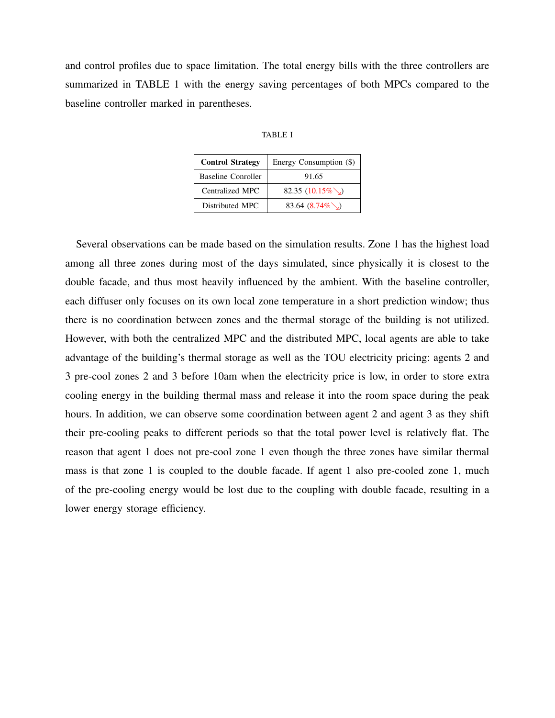and control profiles due to space limitation. The total energy bills with the three controllers are summarized in TABLE 1 with the energy saving percentages of both MPCs compared to the baseline controller marked in parentheses.

| ◝<br>ADI |  |
|----------|--|
|----------|--|

| <b>Control Strategy</b>   | Energy Consumption (\$) |
|---------------------------|-------------------------|
| <b>Baseline Conroller</b> | 91.65                   |
| Centralized MPC           | 82.35 $(10.15\%)$       |
| Distributed MPC           | 83.64 $(8.74\%)$        |

Several observations can be made based on the simulation results. Zone 1 has the highest load among all three zones during most of the days simulated, since physically it is closest to the double facade, and thus most heavily influenced by the ambient. With the baseline controller, each diffuser only focuses on its own local zone temperature in a short prediction window; thus there is no coordination between zones and the thermal storage of the building is not utilized. However, with both the centralized MPC and the distributed MPC, local agents are able to take advantage of the building's thermal storage as well as the TOU electricity pricing: agents 2 and 3 pre-cool zones 2 and 3 before 10am when the electricity price is low, in order to store extra cooling energy in the building thermal mass and release it into the room space during the peak hours. In addition, we can observe some coordination between agent 2 and agent 3 as they shift their pre-cooling peaks to different periods so that the total power level is relatively flat. The reason that agent 1 does not pre-cool zone 1 even though the three zones have similar thermal mass is that zone 1 is coupled to the double facade. If agent 1 also pre-cooled zone 1, much of the pre-cooling energy would be lost due to the coupling with double facade, resulting in a lower energy storage efficiency.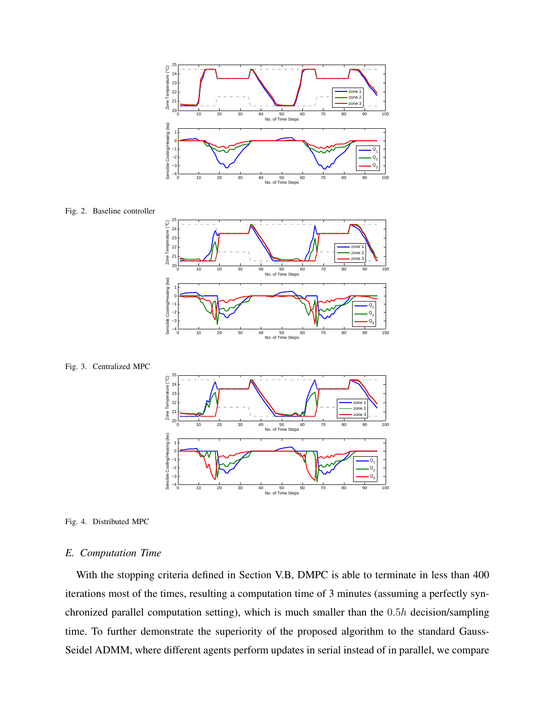

Fig. 2. Baseline controller









### *E. Computation Time*

With the stopping criteria defined in Section V.B, DMPC is able to terminate in less than 400 iterations most of the times, resulting a computation time of 3 minutes (assuming a perfectly synchronized parallel computation setting), which is much smaller than the 0.5h decision/sampling time. To further demonstrate the superiority of the proposed algorithm to the standard Gauss-Seidel ADMM, where different agents perform updates in serial instead of in parallel, we compare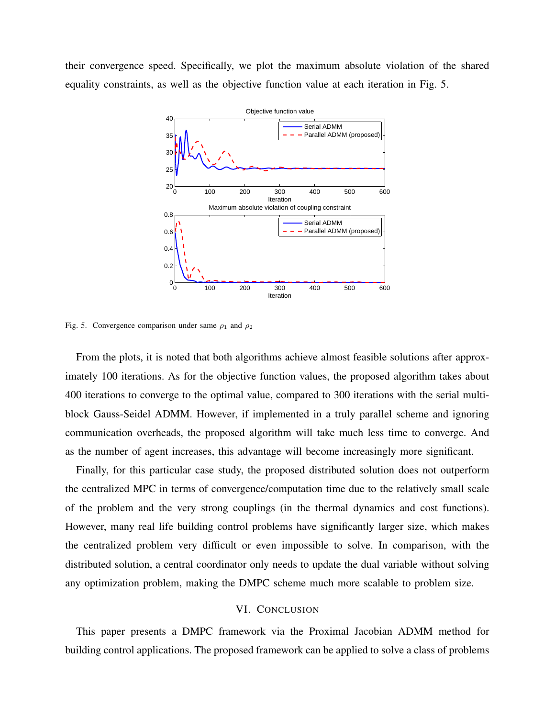their convergence speed. Specifically, we plot the maximum absolute violation of the shared equality constraints, as well as the objective function value at each iteration in Fig. 5.



Fig. 5. Convergence comparison under same  $\rho_1$  and  $\rho_2$ 

From the plots, it is noted that both algorithms achieve almost feasible solutions after approximately 100 iterations. As for the objective function values, the proposed algorithm takes about 400 iterations to converge to the optimal value, compared to 300 iterations with the serial multiblock Gauss-Seidel ADMM. However, if implemented in a truly parallel scheme and ignoring communication overheads, the proposed algorithm will take much less time to converge. And as the number of agent increases, this advantage will become increasingly more significant.

Finally, for this particular case study, the proposed distributed solution does not outperform the centralized MPC in terms of convergence/computation time due to the relatively small scale of the problem and the very strong couplings (in the thermal dynamics and cost functions). However, many real life building control problems have significantly larger size, which makes the centralized problem very difficult or even impossible to solve. In comparison, with the distributed solution, a central coordinator only needs to update the dual variable without solving any optimization problem, making the DMPC scheme much more scalable to problem size.

# VI. CONCLUSION

This paper presents a DMPC framework via the Proximal Jacobian ADMM method for building control applications. The proposed framework can be applied to solve a class of problems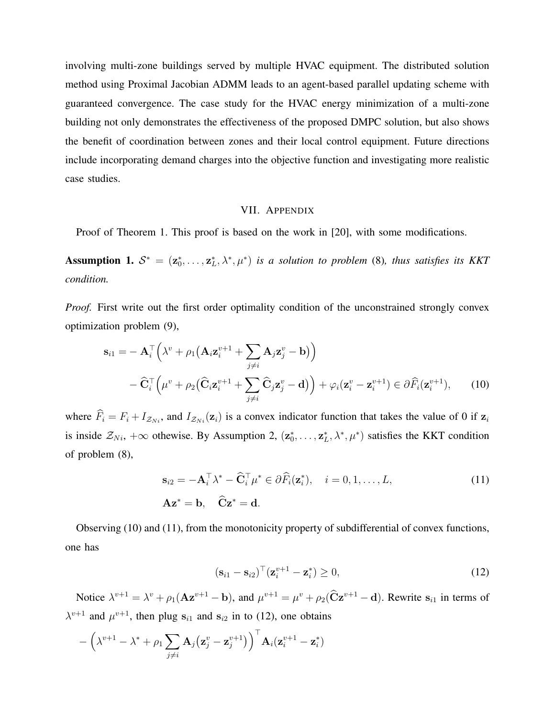involving multi-zone buildings served by multiple HVAC equipment. The distributed solution method using Proximal Jacobian ADMM leads to an agent-based parallel updating scheme with guaranteed convergence. The case study for the HVAC energy minimization of a multi-zone building not only demonstrates the effectiveness of the proposed DMPC solution, but also shows the benefit of coordination between zones and their local control equipment. Future directions include incorporating demand charges into the objective function and investigating more realistic case studies.

#### VII. APPENDIX

Proof of Theorem 1. This proof is based on the work in [20], with some modifications.

Assumption 1.  $S^* = (\mathbf{z}_0^*, \dots, \mathbf{z}_L^*, \lambda^*, \mu^*)$  *is a solution to problem* (8)*, thus satisfies its KKT condition.*

*Proof.* First write out the first order optimality condition of the unconstrained strongly convex optimization problem (9),

$$
\mathbf{s}_{i1} = -\mathbf{A}_{i}^{\top} \left( \lambda^{v} + \rho_{1} \left( \mathbf{A}_{i} \mathbf{z}_{i}^{v+1} + \sum_{j \neq i} \mathbf{A}_{j} \mathbf{z}_{j}^{v} - \mathbf{b} \right) \right) \n- \widehat{\mathbf{C}}_{i}^{\top} \left( \mu^{v} + \rho_{2} \left( \widehat{\mathbf{C}}_{i} \mathbf{z}_{i}^{v+1} + \sum_{j \neq i} \widehat{\mathbf{C}}_{j} \mathbf{z}_{j}^{v} - \mathbf{d} \right) \right) + \varphi_{i} (\mathbf{z}_{i}^{v} - \mathbf{z}_{i}^{v+1}) \in \partial \widehat{F}_{i} (\mathbf{z}_{i}^{v+1}), \qquad (10)
$$

where  $\hat{F}_i = F_i + I_{\mathcal{Z}_{Ni}}$ , and  $I_{\mathcal{Z}_{Ni}}(z_i)$  is a convex indicator function that takes the value of 0 if  $z_i$ is inside  $\mathcal{Z}_{Ni}$ ,  $+\infty$  othewise. By Assumption 2,  $(\mathbf{z}_0^*, \dots, \mathbf{z}_L^*, \lambda^*, \mu^*)$  satisfies the KKT condition of problem (8),

$$
\mathbf{s}_{i2} = -\mathbf{A}_{i}^{\top} \lambda^{*} - \widehat{\mathbf{C}}_{i}^{\top} \mu^{*} \in \partial \widehat{F}_{i}(\mathbf{z}_{i}^{*}), \quad i = 0, 1, ..., L,
$$
  
\n
$$
\mathbf{A}\mathbf{z}^{*} = \mathbf{b}, \quad \widehat{\mathbf{C}}\mathbf{z}^{*} = \mathbf{d}.
$$
 (11)

Observing (10) and (11), from the monotonicity property of subdifferential of convex functions, one has

$$
(\mathbf{s}_{i1} - \mathbf{s}_{i2})^{\top} (\mathbf{z}_{i}^{v+1} - \mathbf{z}_{i}^{*}) \ge 0,
$$
\n(12)

Notice  $\lambda^{v+1} = \lambda^v + \rho_1(\mathbf{A}\mathbf{z}^{v+1} - \mathbf{b})$ , and  $\mu^{v+1} = \mu^v + \rho_2(\hat{\mathbf{C}}\mathbf{z}^{v+1} - \mathbf{d})$ . Rewrite  $\mathbf{s}_{i1}$  in terms of  $\lambda^{v+1}$  and  $\mu^{v+1}$ , then plug  $s_{i1}$  and  $s_{i2}$  in to (12), one obtains

$$
-\left(\lambda^{v+1}-\lambda^*+\rho_1\sum_{j\neq i}\mathbf{A}_j\big(\mathbf{z}_j^v-\mathbf{z}_j^{v+1}\big)\right)^{\top}\mathbf{A}_i(\mathbf{z}_i^{v+1}-\mathbf{z}_i^*)
$$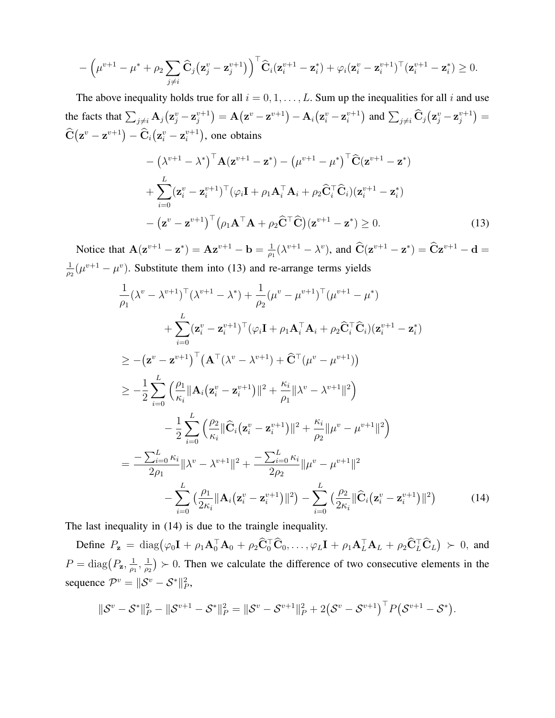$$
-\left(\mu^{v+1}-\mu^*+\rho_2\sum_{j\neq i}\widehat{\mathbf{C}}_j\big(\mathbf{z}_j^v-\mathbf{z}_j^{v+1}\big)\right)^{\top}\widehat{\mathbf{C}}_i(\mathbf{z}_i^{v+1}-\mathbf{z}_i^*)+\varphi_i(\mathbf{z}_i^v-\mathbf{z}_i^{v+1})^{\top}(\mathbf{z}_i^{v+1}-\mathbf{z}_i^*)\geq 0.
$$

The above inequality holds true for all  $i = 0, 1, \ldots, L$ . Sum up the inequalities for all i and use the facts that  $\sum_{j\neq i} \mathbf{A}_j (\mathbf{z}^v_j - \mathbf{z}^{v+1}_j)$  $\left(\mathbf{z}^{v} - \mathbf{z}^{v+1}\right) - \mathbf{A}_i\big(\mathbf{z}^{v}_i - \mathbf{z}^{v+1}_i\big)$  $\binom{v+1}{i}$  and  $\sum_{j\neq i} \widehat{\mathbf{C}}_j (\mathbf{z}_j^v - \mathbf{z}_j^{v+1})$  $j^{v+1}) =$  $\widehat{\textbf{C}}\big(\mathbf{z}^{v}-\mathbf{z}^{v+1}\big) - \widehat{\textbf{C}}_i \big(\mathbf{z}^{v}_i-\mathbf{z}^{v+1}_i$  $i^{v+1}$ ), one obtains

$$
-(\lambda^{v+1} - \lambda^*)^{\top} \mathbf{A} (\mathbf{z}^{v+1} - \mathbf{z}^*) - (\mu^{v+1} - \mu^*)^{\top} \widehat{\mathbf{C}} (\mathbf{z}^{v+1} - \mathbf{z}^*)
$$
  
+ 
$$
\sum_{i=0}^{L} (\mathbf{z}_i^v - \mathbf{z}_i^{v+1})^{\top} (\varphi_i \mathbf{I} + \rho_1 \mathbf{A}_i^{\top} \mathbf{A}_i + \rho_2 \widehat{\mathbf{C}}_i^{\top} \widehat{\mathbf{C}}_i) (\mathbf{z}_i^{v+1} - \mathbf{z}_i^*)
$$
  
- 
$$
(\mathbf{z}^v - \mathbf{z}^{v+1})^{\top} (\rho_1 \mathbf{A}^{\top} \mathbf{A} + \rho_2 \widehat{\mathbf{C}}^{\top} \widehat{\mathbf{C}}) (\mathbf{z}^{v+1} - \mathbf{z}^*) \ge 0.
$$
 (13)

Notice that  $\mathbf{A}(\mathbf{z}^{v+1} - \mathbf{z}^*) = \mathbf{A}\mathbf{z}^{v+1} - \mathbf{b} = \frac{1}{\omega}$  $\frac{1}{\rho_1}(\lambda^{v+1} - \lambda^v)$ , and  $\hat{C}(z^{v+1} - z^*) = \hat{C}z^{v+1} - d =$ 1  $\frac{1}{\rho_2}(\mu^{v+1}-\mu^v)$ . Substitute them into (13) and re-arrange terms yields

$$
\frac{1}{\rho_{1}}(\lambda^{v} - \lambda^{v+1})^{\top}(\lambda^{v+1} - \lambda^{*}) + \frac{1}{\rho_{2}}(\mu^{v} - \mu^{v+1})^{\top}(\mu^{v+1} - \mu^{*}) \n+ \sum_{i=0}^{L} (\mathbf{z}_{i}^{v} - \mathbf{z}_{i}^{v+1})^{\top}(\varphi_{i} \mathbf{I} + \rho_{1} \mathbf{A}_{i}^{\top} \mathbf{A}_{i} + \rho_{2} \widehat{\mathbf{C}}_{i}^{\top} \widehat{\mathbf{C}}_{i}) (\mathbf{z}_{i}^{v+1} - \mathbf{z}_{i}^{*}) \n\geq -(\mathbf{z}^{v} - \mathbf{z}^{v+1})^{\top} (\mathbf{A}^{\top}(\lambda^{v} - \lambda^{v+1}) + \widehat{\mathbf{C}}^{\top}(\mu^{v} - \mu^{v+1})) \n\geq -\frac{1}{2} \sum_{i=0}^{L} (\frac{\rho_{1}}{\kappa_{i}} \|\mathbf{A}_{i}(\mathbf{z}_{i}^{v} - \mathbf{z}_{i}^{v+1})\|^{2} + \frac{\kappa_{i}}{\rho_{1}} \|\lambda^{v} - \lambda^{v+1}\|^{2}) \n- \frac{1}{2} \sum_{i=0}^{L} (\frac{\rho_{2}}{\kappa_{i}} \|\widehat{\mathbf{C}}_{i}(\mathbf{z}_{i}^{v} - \mathbf{z}_{i}^{v+1})\|^{2} + \frac{\kappa_{i}}{\rho_{2}} \|\mu^{v} - \mu^{v+1}\|^{2}) \n= \frac{-\sum_{i=0}^{L} \kappa_{i}}{2\rho_{1}} \|\lambda^{v} - \lambda^{v+1}\|^{2} + \frac{-\sum_{i=0}^{L} \kappa_{i}}{2\rho_{2}} \|\mu^{v} - \mu^{v+1}\|^{2} \n- \sum_{i=0}^{L} (\frac{\rho_{1}}{2\kappa_{i}} \|\mathbf{A}_{i}(\mathbf{z}_{i}^{v} - \mathbf{z}_{i}^{v+1})\|^{2}) - \sum_{i=0}^{L} (\frac{\rho_{2}}{2\kappa_{i}} \|\widehat{\mathbf{C}}_{i}(\mathbf{z}_{i}^{v} - \mathbf{z}_{i}^{v+1})\|^{2})
$$
\n

The last inequality in (14) is due to the traingle inequality.

Define  $P_{\mathbf{z}} = \text{diag}(\varphi_0 \mathbf{I} + \rho_1 \mathbf{A}_0^{\top} \mathbf{A}_0 + \rho_2 \hat{\mathbf{C}}_0^{\top} \hat{\mathbf{C}}_0, \dots, \varphi_L \mathbf{I} + \rho_1 \mathbf{A}_L^{\top} \mathbf{A}_L + \rho_2 \hat{\mathbf{C}}_L^{\top} \hat{\mathbf{C}}_L) \succ 0$ , and  $P = \text{diag}(P_{\mathbf{z}}, \frac{1}{q_{\text{B}}}$  $\frac{1}{\rho_1}, \frac{1}{\rho_2}$  $\frac{1}{p_2}$   $>$  0. Then we calculate the difference of two consecutive elements in the sequence  $\mathcal{P}^v = \|\mathcal{S}^v - \mathcal{S}^*\|_P^2$ ,

$$
\|\mathcal{S}^{v} - \mathcal{S}^{*}\|_{P}^{2} - \|\mathcal{S}^{v+1} - \mathcal{S}^{*}\|_{P}^{2} = \|\mathcal{S}^{v} - \mathcal{S}^{v+1}\|_{P}^{2} + 2(\mathcal{S}^{v} - \mathcal{S}^{v+1})^{\top} P (\mathcal{S}^{v+1} - \mathcal{S}^{*}).
$$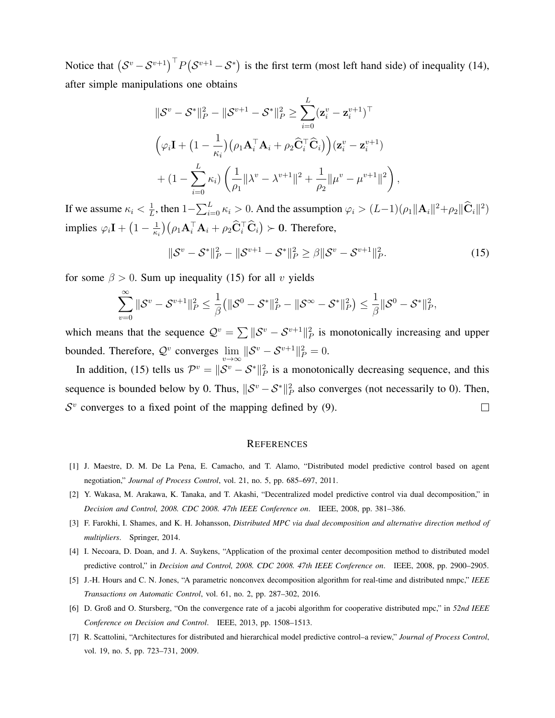Notice that  $(S^v - S^{v+1})^\top P(S^{v+1} - S^*)$  is the first term (most left hand side) of inequality (14), after simple manipulations one obtains

$$
\|\mathcal{S}^{v} - \mathcal{S}^{*}\|_{P}^{2} - \|\mathcal{S}^{v+1} - \mathcal{S}^{*}\|_{P}^{2} \geq \sum_{i=0}^{L} (\mathbf{z}_{i}^{v} - \mathbf{z}_{i}^{v+1})^{\top}
$$
  

$$
\left(\varphi_{i}\mathbf{I} + \left(1 - \frac{1}{\kappa_{i}}\right)\left(\rho_{1}\mathbf{A}_{i}^{\top}\mathbf{A}_{i} + \rho_{2}\widehat{\mathbf{C}}_{i}^{\top}\widehat{\mathbf{C}}_{i}\right)\right)(\mathbf{z}_{i}^{v} - \mathbf{z}_{i}^{v+1})
$$
  

$$
+ \left(1 - \sum_{i=0}^{L} \kappa_{i}\right)\left(\frac{1}{\rho_{1}}\|\lambda^{v} - \lambda^{v+1}\|^{2} + \frac{1}{\rho_{2}}\|\mu^{v} - \mu^{v+1}\|^{2}\right),
$$

If we assume  $\kappa_i < \frac{1}{L}$  $\frac{1}{L}$ , then  $1-\sum_{i=0}^{L} \kappa_i > 0$ . And the assumption  $\varphi_i > (L-1)(\rho_1 || \mathbf{A}_i ||^2 + \rho_2 ||\mathbf{\hat{C}}_i ||^2)$ implies  $\varphi_i \mathbf{I} + \left(1 - \frac{1}{\kappa}\right)$  $\frac{1}{\kappa_i}$ )  $(\rho_1 \mathbf{A}_i^{\top} \mathbf{A}_i + \rho_2 \hat{\mathbf{C}}_i^{\top} \hat{\mathbf{C}}_i) \succ \mathbf{0}$ . Therefore,

$$
\|\mathcal{S}^v - \mathcal{S}^*\|_P^2 - \|\mathcal{S}^{v+1} - \mathcal{S}^*\|_P^2 \ge \beta \|\mathcal{S}^v - \mathcal{S}^{v+1}\|_P^2.
$$
 (15)

for some  $\beta > 0$ . Sum up inequality (15) for all v yields

$$
\sum_{v=0}^{\infty} \|\mathcal{S}^v - \mathcal{S}^{v+1}\|_P^2 \leq \frac{1}{\beta} ( \|\mathcal{S}^0 - \mathcal{S}^*\|_P^2 - \|\mathcal{S}^{\infty} - \mathcal{S}^*\|_P^2 ) \leq \frac{1}{\beta} \|\mathcal{S}^0 - \mathcal{S}^*\|_P^2,
$$

which means that the sequence  $\mathcal{Q}^v = \sum ||\mathcal{S}^v - \mathcal{S}^{v+1}||_P^2$  is monotonically increasing and upper bounded. Therefore,  $\mathcal{Q}^v$  converges  $\lim_{v\to\infty} \|\mathcal{S}^v - \mathcal{S}^{v+1}\|_P^2 = 0.$ 

In addition, (15) tells us  $\mathcal{P}^v = ||\mathcal{S}^v - \mathcal{S}^*||_P^2$  is a monotonically decreasing sequence, and this sequence is bounded below by 0. Thus,  $\|\mathcal{S}^v - \mathcal{S}^*\|_P^2$  also converges (not necessarily to 0). Then,  $S<sup>v</sup>$  converges to a fixed point of the mapping defined by (9).  $\Box$ 

#### **REFERENCES**

- [1] J. Maestre, D. M. De La Pena, E. Camacho, and T. Alamo, "Distributed model predictive control based on agent negotiation," *Journal of Process Control*, vol. 21, no. 5, pp. 685–697, 2011.
- [2] Y. Wakasa, M. Arakawa, K. Tanaka, and T. Akashi, "Decentralized model predictive control via dual decomposition," in *Decision and Control, 2008. CDC 2008. 47th IEEE Conference on*. IEEE, 2008, pp. 381–386.
- [3] F. Farokhi, I. Shames, and K. H. Johansson, *Distributed MPC via dual decomposition and alternative direction method of multipliers*. Springer, 2014.
- [4] I. Necoara, D. Doan, and J. A. Suykens, "Application of the proximal center decomposition method to distributed model predictive control," in *Decision and Control, 2008. CDC 2008. 47th IEEE Conference on*. IEEE, 2008, pp. 2900–2905.
- [5] J.-H. Hours and C. N. Jones, "A parametric nonconvex decomposition algorithm for real-time and distributed nmpc," *IEEE Transactions on Automatic Control*, vol. 61, no. 2, pp. 287–302, 2016.
- [6] D. Groß and O. Stursberg, "On the convergence rate of a jacobi algorithm for cooperative distributed mpc," in *52nd IEEE Conference on Decision and Control*. IEEE, 2013, pp. 1508–1513.
- [7] R. Scattolini, "Architectures for distributed and hierarchical model predictive control–a review," *Journal of Process Control*, vol. 19, no. 5, pp. 723–731, 2009.